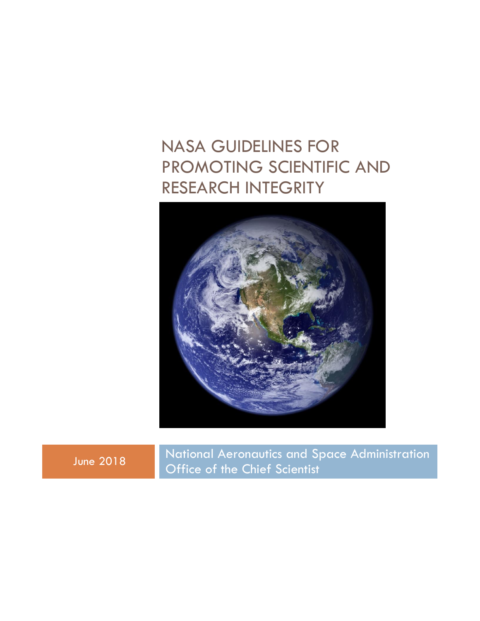## NASA GUIDELINES FOR PROMOTING SCIENTIFIC AND RESEARCH INTEGRITY



June 2018 National Aeronautics and Space Administration Office of the Chief Scientist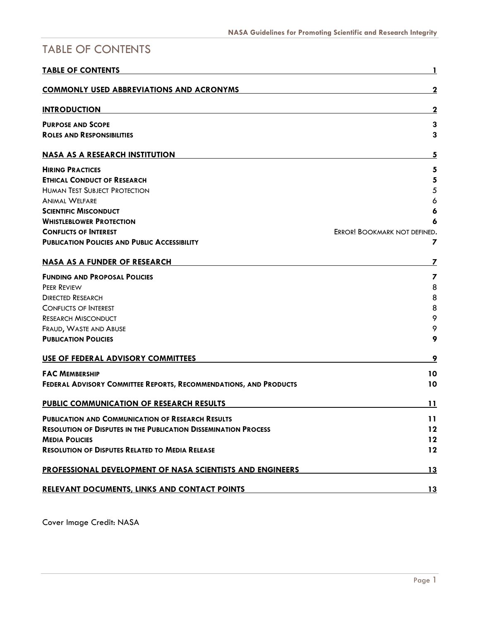## <span id="page-1-0"></span>TABLE OF CONTENTS

| <b>TABLE OF CONTENTS</b>                                               |                              |
|------------------------------------------------------------------------|------------------------------|
| <b>COMMONLY USED ABBREVIATIONS AND ACRONYMS</b>                        | 2                            |
| <b>INTRODUCTION</b>                                                    | 2                            |
| <b>PURPOSE AND SCOPE</b>                                               | 3                            |
| <b>ROLES AND RESPONSIBILITIES</b>                                      | 3                            |
| <b>NASA AS A RESEARCH INSTITUTION</b>                                  | 5                            |
| <b>HIRING PRACTICES</b>                                                | 5                            |
| <b>ETHICAL CONDUCT OF RESEARCH</b>                                     | 5                            |
| <b>HUMAN TEST SUBJECT PROTECTION</b>                                   | 5                            |
| <b>ANIMAL WELFARE</b>                                                  | 6                            |
| <b>SCIENTIFIC MISCONDUCT</b>                                           | 6                            |
| <b>WHISTLEBLOWER PROTECTION</b>                                        | 6                            |
| <b>CONFLICTS OF INTEREST</b>                                           | ERROR! BOOKMARK NOT DEFINED. |
| <b>PUBLICATION POLICIES AND PUBLIC ACCESSIBILITY</b>                   | 7                            |
| <b>NASA AS A FUNDER OF RESEARCH</b>                                    | 7                            |
| <b>FUNDING AND PROPOSAL POLICIES</b>                                   | $\overline{\mathbf{z}}$      |
| PEER REVIEW                                                            | 8                            |
| <b>DIRECTED RESEARCH</b>                                               | 8                            |
| <b>CONFLICTS OF INTEREST</b>                                           | 8                            |
| <b>RESEARCH MISCONDUCT</b>                                             | 9                            |
| FRAUD, WASTE AND ABUSE                                                 | 9                            |
| <b>PUBLICATION POLICIES</b>                                            | 9                            |
| USE OF FEDERAL ADVISORY COMMITTEES                                     | 9                            |
| <b>FAC MEMBERSHIP</b>                                                  | 10                           |
| FEDERAL ADVISORY COMMITTEE REPORTS, RECOMMENDATIONS, AND PRODUCTS      | 10                           |
| PUBLIC COMMUNICATION OF RESEARCH RESULTS                               | 11                           |
| <b>PUBLICATION AND COMMUNICATION OF RESEARCH RESULTS</b>               | 11                           |
| <b>RESOLUTION OF DISPUTES IN THE PUBLICATION DISSEMINATION PROCESS</b> | 12                           |
| <b>MEDIA POLICIES</b>                                                  | 12                           |
| <b>RESOLUTION OF DISPUTES RELATED TO MEDIA RELEASE</b>                 | 12                           |
| PROFESSIONAL DEVELOPMENT OF NASA SCIENTISTS AND ENGINEERS              | 13                           |
| <b>RELEVANT DOCUMENTS, LINKS AND CONTACT POINTS</b>                    | <u>13</u>                    |

Cover Image Credit: NASA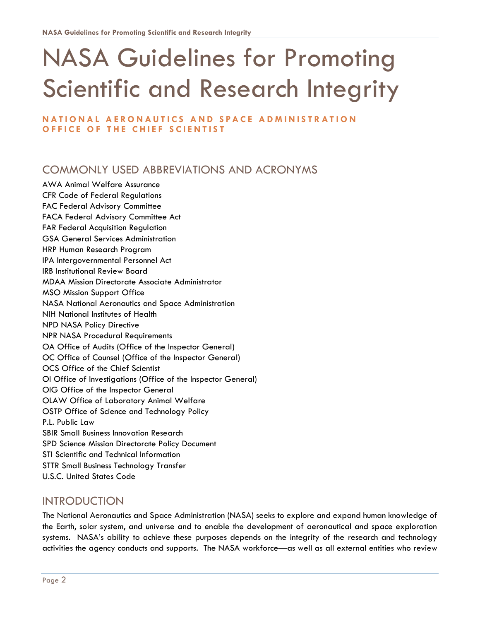# NASA Guidelines for Promoting Scientific and Research Integrity

#### **NATIONAL AERONAUTICS AND SPACE ADMINISTRATION OFFICE OF THE CHIEF SCIENTIST**

## <span id="page-2-0"></span>COMMONLY USED ABBREVIATIONS AND ACRONYMS

AWA Animal Welfare Assurance CFR Code of Federal Regulations FAC Federal Advisory Committee FACA Federal Advisory Committee Act FAR Federal Acquisition Regulation GSA General Services Administration HRP Human Research Program IPA Intergovernmental Personnel Act IRB Institutional Review Board MDAA Mission Directorate Associate Administrator MSO Mission Support Office NASA National Aeronautics and Space Administration NIH National Institutes of Health NPD NASA Policy Directive NPR NASA Procedural Requirements OA Office of Audits (Office of the Inspector General) OC Office of Counsel (Office of the Inspector General) OCS Office of the Chief Scientist OI Office of Investigations (Office of the Inspector General) OIG Office of the Inspector General OLAW Office of Laboratory Animal Welfare OSTP Office of Science and Technology Policy P.L. Public Law SBIR Small Business Innovation Research SPD Science Mission Directorate Policy Document STI Scientific and Technical Information STTR Small Business Technology Transfer U.S.C. United States Code

## <span id="page-2-1"></span>INTRODUCTION

The National Aeronautics and Space Administration (NASA) seeks to explore and expand human knowledge of the Earth, solar system, and universe and to enable the development of aeronautical and space exploration systems. NASA's ability to achieve these purposes depends on the integrity of the research and technology activities the agency conducts and supports. The NASA workforce—as well as all external entities who review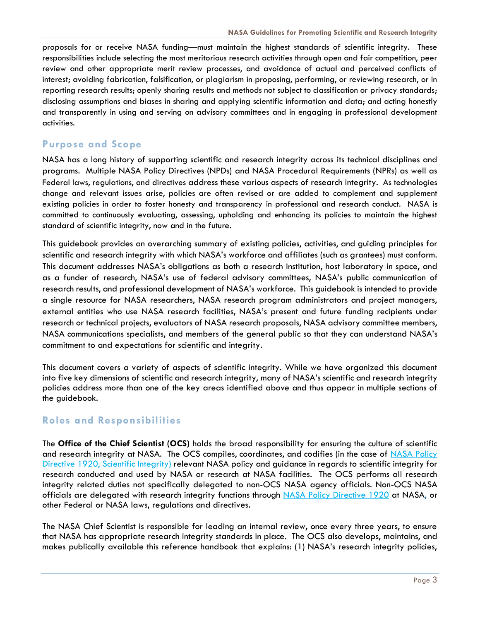proposals for or receive NASA funding—must maintain the highest standards of scientific integrity. These responsibilities include selecting the most meritorious research activities through open and fair competition, peer review and other appropriate merit review processes, and avoidance of actual and perceived conflicts of interest; avoiding fabrication, falsification, or plagiarism in proposing, performing, or reviewing research, or in reporting research results; openly sharing results and methods not subject to classification or privacy standards; disclosing assumptions and biases in sharing and applying scientific information and data; and acting honestly and transparently in using and serving on advisory committees and in engaging in professional development activities.

## <span id="page-3-0"></span>**Purpose and Scope**

NASA has a long history of supporting scientific and research integrity across its technical disciplines and programs. Multiple NASA Policy Directives (NPDs) and NASA Procedural Requirements (NPRs) as well as Federal laws, regulations, and directives address these various aspects of research integrity. As technologies change and relevant issues arise, policies are often revised or are added to complement and supplement existing policies in order to foster honesty and transparency in professional and research conduct. NASA is committed to continuously evaluating, assessing, upholding and enhancing its policies to maintain the highest standard of scientific integrity, now and in the future.

This guidebook provides an overarching summary of existing policies, activities, and guiding principles for scientific and research integrity with which NASA's workforce and affiliates (such as grantees) must conform. This document addresses NASA's obligations as both a research institution, host laboratory in space, and as a funder of research, NASA's use of federal advisory committees, NASA's public communication of research results, and professional development of NASA's workforce. This guidebook is intended to provide a single resource for NASA researchers, NASA research program administrators and project managers, external entities who use NASA research facilities, NASA's present and future funding recipients under research or technical projects, evaluators of NASA research proposals, NASA advisory committee members, NASA communications specialists, and members of the general public so that they can understand NASA's commitment to and expectations for scientific and integrity.

This document covers a variety of aspects of scientific integrity. While we have organized this document into five key dimensions of scientific and research integrity, many of NASA's scientific and research integrity policies address more than one of the key areas identified above and thus appear in multiple sections of the guidebook.

## <span id="page-3-1"></span>**Roles and Responsibilities**

The **Office of the Chief Scientist (OCS)** holds the broad responsibility for ensuring the culture of scientific and research integrity at NASA. The OCS compiles, coordinates, and codifies (in the case of [NASA Policy](https://nodis-dms.gsfc.nasa.gov/DMS_only/dms/draft.cfm?id=N_PD_1920_DRAF_11)  Directive [1920, Scientific](https://nodis-dms.gsfc.nasa.gov/DMS_only/dms/draft.cfm?id=N_PD_1920_DRAF_11) Integrity) relevant NASA policy and guidance in regards to scientific integrity for research conducted and used by NASA or research at NASA facilities. The OCS performs all research integrity related duties not specifically delegated to non-OCS NASA agency officials. Non-OCS NASA officials are delegated with research integrity functions through [NASA Policy Directive 1920](https://nodis-dms.gsfc.nasa.gov/DMS_only/dms/draft.cfm?id=N_PD_1920_DRAF_11) at NASA, or other Federal or NASA laws, regulations and directives.

The NASA Chief Scientist is responsible for leading an internal review, once every three years, to ensure that NASA has appropriate research integrity standards in place. The OCS also develops, maintains, and makes publically available this reference handbook that explains: (1) NASA's research integrity policies,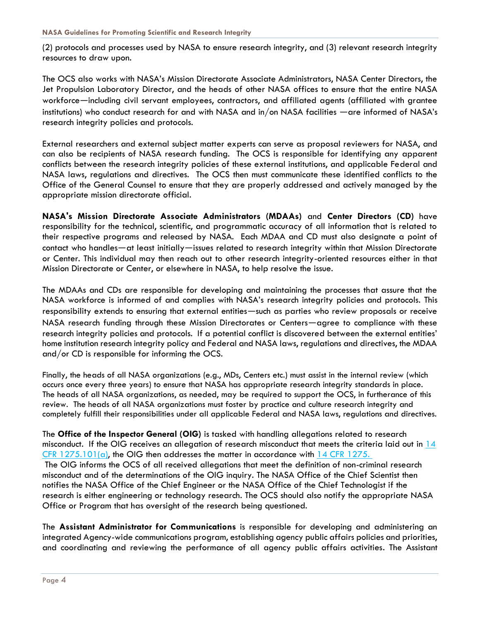(2) protocols and processes used by NASA to ensure research integrity, and (3) relevant research integrity resources to draw upon.

The OCS also works with NASA's Mission Directorate Associate Administrators, NASA Center Directors, the Jet Propulsion Laboratory Director, and the heads of other NASA offices to ensure that the entire NASA workforce—including civil servant employees, contractors, and affiliated agents (affiliated with grantee institutions) who conduct research for and with NASA and in/on NASA facilities —are informed of NASA's research integrity policies and protocols.

External researchers and external subject matter experts can serve as proposal reviewers for NASA, and can also be recipients of NASA research funding. The OCS is responsible for identifying any apparent conflicts between the research integrity policies of these external institutions, and applicable Federal and NASA laws, regulations and directives. The OCS then must communicate these identified conflicts to the Office of the General Counsel to ensure that they are properly addressed and actively managed by the appropriate mission directorate official.

**NASA's Mission Directorate Associate Administrators (MDAAs)** and **Center Directors (CD)** have responsibility for the technical, scientific, and programmatic accuracy of all information that is related to their respective programs and released by NASA. Each MDAA and CD must also designate a point of contact who handles—at least initially—issues related to research integrity within that Mission Directorate or Center. This individual may then reach out to other research integrity-oriented resources either in that Mission Directorate or Center, or elsewhere in NASA, to help resolve the issue.

The MDAAs and CDs are responsible for developing and maintaining the processes that assure that the NASA workforce is informed of and complies with NASA's research integrity policies and protocols. This responsibility extends to ensuring that external entities—such as parties who review proposals or receive NASA research funding through these Mission Directorates or Centers—agree to compliance with these research integrity policies and protocols. If a potential conflict is discovered between the external entities' home institution research integrity policy and Federal and NASA laws, regulations and directives, the MDAA and/or CD is responsible for informing the OCS.

Finally, the heads of all NASA organizations (e.g., MDs, Centers etc.) must assist in the internal review (which occurs once every three years) to ensure that NASA has appropriate research integrity standards in place. The heads of all NASA organizations, as needed, may be required to support the OCS, in furtherance of this review. The heads of all NASA organizations must foster by practice and culture research integrity and completely fulfill their responsibilities under all applicable Federal and NASA laws, regulations and directives.

The **Office of the Inspector General (OIG)** is tasked with handling allegations related to research misconduct. If the OIG receives an allegation of research misconduct that meets the criteria laid out in 14 CFR  $1275.101(a)$ , the OIG then addresses the matter in accordance with  $14$  CFR 1275. The OIG informs the OCS of all received allegations that meet the definition of non-criminal research misconduct and of the determinations of the OIG inquiry. The NASA Office of the Chief Scientist then notifies the NASA Office of the Chief Engineer or the NASA Office of the Chief Technologist if the research is either engineering or technology research. The OCS should also notify the appropriate NASA Office or Program that has oversight of the research being questioned.

The **Assistant Administrator for Communications** is responsible for developing and administering an integrated Agency-wide communications program, establishing agency public affairs policies and priorities, and coordinating and reviewing the performance of all agency public affairs activities. The Assistant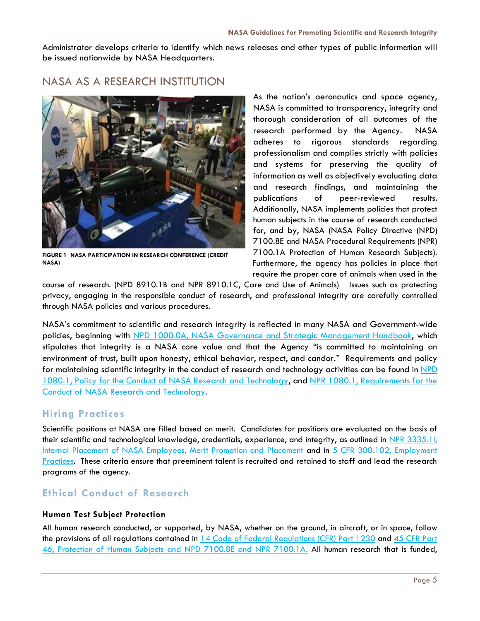Administrator develops criteria to identify which news releases and other types of public information will be issued nationwide by NASA Headquarters.

## <span id="page-5-0"></span>NASA AS A RESEARCH INSTITUTION



**FIGURE 1 NASA PARTICIPATION IN RESEARCH CONFERENCE (CREDIT NASA)**

As the nation's aeronautics and space agency, NASA is committed to transparency, integrity and thorough consideration of all outcomes of the research performed by the Agency. NASA adheres to rigorous standards regarding professionalism and complies strictly with policies and systems for preserving the quality of information as well as objectively evaluating data and research findings, and maintaining the publications of peer-reviewed results. Additionally, NASA implements policies that protect human subjects in the course of research conducted for, and by, NASA (NASA Policy Directive (NPD) 7100.8E and NASA Procedural Requirements (NPR) 7100.1A Protection of Human Research Subjects). Furthermore, the agency has policies in place that require the proper care of animals when used in the

course of research. (NPD 8910.1B and NPR 8910.1C, Care and Use of Animals) Issues such as protecting privacy, engaging in the responsible conduct of research, and professional integrity are carefully controlled through NASA policies and various procedures.

NASA's commitment to scientific and research integrity is reflected in many NASA and Government-wide policies, beginning with NPD [1000.0A, NASA Governance and Strategic Management Handbook,](http://nodis3.gsfc.nasa.gov/displayDir.cfm?t=NPD&c=1000&s=0A) which stipulates that integrity is a NASA core value and that the Agency "is committed to maintaining an environment of trust, built upon honesty, ethical behavior, respect, and candor." Requirements and policy for maintaining scientific integrity in the conduct of research and technology activities can be found in NPD [1080.1, Policy for the Conduct of NASA Research and Technology,](http://nodis3.gsfc.nasa.gov/displayDir.cfm?t=NPD&c=1080&s=1B) and NPR [1080.1, Requirements for the](http://nodis3.gsfc.nasa.gov/displayDir.cfm?t=NPR&c=1080&s=1A)  [Conduct of NASA Research and Technology.](http://nodis3.gsfc.nasa.gov/displayDir.cfm?t=NPR&c=1080&s=1A)

#### <span id="page-5-1"></span>**Hiring Practices**

Scientific positions at NASA are filled based on merit. Candidates for positions are evaluated on the basis of their scientific and technological knowledge, credentials, experience, and integrity, as outlined in NPR 3335.11, [Internal Placement of NASA Employees, Merit Promotion and Placement](https://nodis3.gsfc.nasa.gov/displayDir.cfm?t=NPR&c=3335&s=1H) and in [5 CFR 300.102, Employment](https://www.gpo.gov/fdsys/granule/CFR-2002-title5-vol1/CFR-2002-title5-vol1-sec300-102)  [Practices.](https://www.gpo.gov/fdsys/granule/CFR-2002-title5-vol1/CFR-2002-title5-vol1-sec300-102) These criteria ensure that preeminent talent is recruited and retained to staff and lead the research programs of the agency.

## <span id="page-5-2"></span>**Ethical Conduct of Research**

#### <span id="page-5-3"></span>**Human Test Subject Protection**

All human research conducted, or supported, by NASA, whether on the ground, in aircraft, or in space, follow the provisions of all regulations contained in [14 Code of Federal Regulations \(CFR\)](https://www.gpo.gov/fdsys/granule/CFR-2012-title14-vol5/CFR-2012-title14-vol5-part1230/content-detail.html) Part 1230 and 45 CFR Part [46, Protection of Human Subjects](http://www.ecfr.gov/cgi-bin/text-idx?tpl=/ecfrbrowse/Title45/45cfr46_main_02.tpl) and NPD 7100.8E and NPR 7100.1A. All human research that is funded,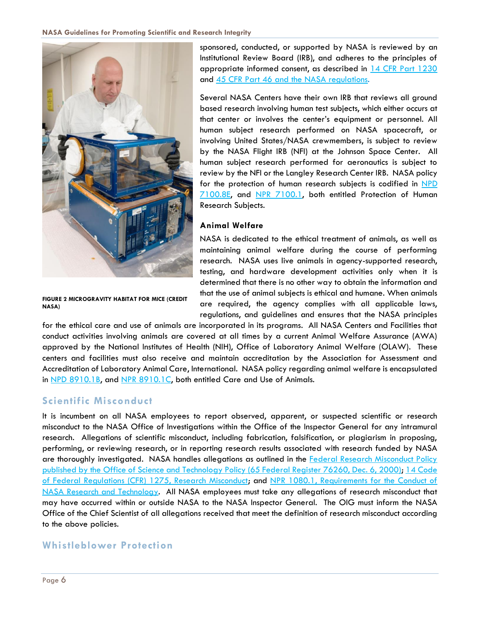

**FIGURE 2 MICROGRAVITY HABITAT FOR MICE (CREDIT NASA)**

sponsored, conducted, or supported by NASA is reviewed by an Institutional Review Board (IRB), and adheres to the principles of appropriate informed consent, as described in [14 CFR Part 1230](https://www.gpo.gov/fdsys/granule/CFR-2012-title14-vol5/CFR-2012-title14-vol5-part1230/content-detail.html) and [45 CFR Part 46](http://www.ecfr.gov/cgi-bin/text-idx?tpl=/ecfrbrowse/Title45/45cfr46_main_02.tpl) and the NASA regulations.

Several NASA Centers have their own IRB that reviews all ground based research involving human test subjects, which either occurs at that center or involves the center's equipment or personnel. All human subject research performed on NASA spacecraft, or involving United States/NASA crewmembers, is subject to review by the NASA Flight IRB (NFI) at the Johnson Space Center. All human subject research performed for aeronautics is subject to review by the NFI or the Langley Research Center IRB. NASA policy for the protection of human research subjects is codified in NPD [7100.8E,](https://nodis3.gsfc.nasa.gov/displayDir.cfm?Internal_ID=N_PD_7100_008E_&page_name=main) and NPR [7100.1,](https://nodis3.gsfc.nasa.gov/displayDir.cfm?t=NPR&c=7100&s=1) both entitled Protection of Human Research Subjects.

#### <span id="page-6-0"></span>**Animal Welfare**

NASA is dedicated to the ethical treatment of animals, as well as maintaining animal welfare during the course of performing research. NASA uses live animals in agency-supported research, testing, and hardware development activities only when it is determined that there is no other way to obtain the information and that the use of animal subjects is ethical and humane. When animals are required, the agency complies with all applicable laws, regulations, and guidelines and ensures that the NASA principles

for the ethical care and use of animals are incorporated in its programs. All NASA Centers and Facilities that conduct activities involving animals are covered at all times by a current Animal Welfare Assurance (AWA) approved by the National Institutes of Health (NIH), Office of Laboratory Animal Welfare (OLAW). These centers and facilities must also receive and maintain accreditation by the Association for Assessment and Accreditation of Laboratory Animal Care, International. NASA policy regarding animal welfare is encapsulated in NPD [8910.1B,](https://nodis3.gsfc.nasa.gov/displayDir.cfm?t=NPD&c=8910&s=1B) and NPR [8910.1C,](https://nodis3.gsfc.nasa.gov/displayDir.cfm?Internal_ID=N_PR_8910_001C_&page_name=Preface) both entitled Care and Use of Animals.

#### <span id="page-6-1"></span>**Scientific Misconduct**

It is incumbent on all NASA employees to report observed, apparent, or suspected scientific or research misconduct to the NASA Office of Investigations within the Office of the Inspector General for any intramural research. Allegations of scientific misconduct, including fabrication, falsification, or plagiarism in proposing, performing, or reviewing research, or in reporting research results associated with research funded by NASA are thoroughly investigated. NASA handles allegations as outlined in the [Federal Research Misconduct Policy](https://www.gpo.gov/fdsys/pkg/FR-2000-12-06/html/00-30852.htm)  [published by the Office of Science and Technology Policy \(65 Federal Register 76260, Dec. 6, 2000\);](https://www.gpo.gov/fdsys/pkg/FR-2000-12-06/html/00-30852.htm) [14 Code](http://www.ecfr.gov/cgi-bin/text-idx?SID=52709f6aaf8f383da42dfe0dff5276ad&mc=true&node=pt14.5.1275&rgn=div5)  [of Federal Regulations \(CFR\) 1275, Research Misconduct;](http://www.ecfr.gov/cgi-bin/text-idx?SID=52709f6aaf8f383da42dfe0dff5276ad&mc=true&node=pt14.5.1275&rgn=div5) and [NPR 1080.1, Requirements for the Conduct of](http://nodis3.gsfc.nasa.gov/displayDir.cfm?t=NPR&c=1080&s=1A)  [NASA Research and Technology.](http://nodis3.gsfc.nasa.gov/displayDir.cfm?t=NPR&c=1080&s=1A) All NASA employees must take any allegations of research misconduct that may have occurred within or outside NASA to the NASA Inspector General. The OIG must inform the NASA Office of the Chief Scientist of all allegations received that meet the definition of research misconduct according to the above policies.

#### <span id="page-6-2"></span>**Whistleblower Protection**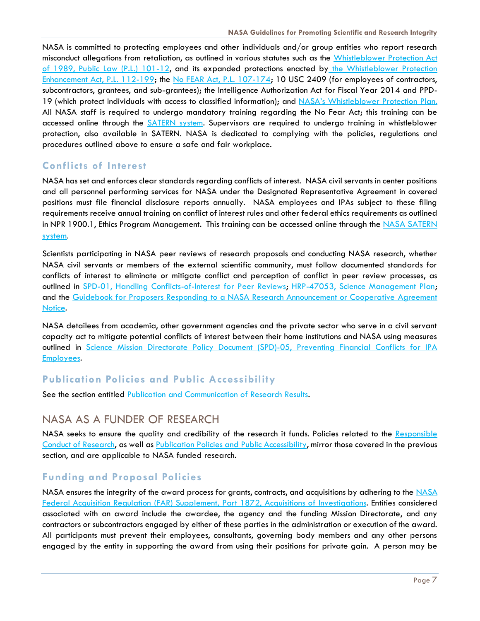NASA is committed to protecting employees and other individuals and/or group entities who report research misconduct allegations from retaliation, as outlined in various statutes such as the [Whistleblower Protection Act](https://www.congress.gov/bill/101st-congress/senate-bill/20)  [of 1989, Public Law \(P.L.\) 101-12,](https://www.congress.gov/bill/101st-congress/senate-bill/20) and its expanded protections enacted by the Whistleblower Protection Enhancement Act, P.L. 112-199; the [No FEAR Act, P.L. 107-174;](https://www.gpo.gov/fdsys/pkg/PLAW-107publ174/html/PLAW-107publ174.htm) 10 USC 2409 (for employees of contractors, subcontractors, grantees, and sub-grantees); the Intelligence Authorization Act for Fiscal Year 2014 and PPD-19 (which protect individuals with access to classified information); and [NASA's Whistleblower Protection Plan.](https://www.nasa.gov/pdf/611174main_WhistleblowerProtectionPlan.pdf) All NASA staff is required to undergo mandatory training regarding the No Fear Act; this training can be accessed online through the [SATERN system.](https://saterninfo.nasa.gov/) Supervisors are required to undergo training in whistleblower protection, also available in SATERN. NASA is dedicated to complying with the policies, regulations and procedures outlined above to ensure a safe and fair workplace.

#### **Conflicts of Interest**

NASA has set and enforces clear standards regarding conflicts of interest. NASA civil servants in center positions and all personnel performing services for NASA under the Designated Representative Agreement in covered positions must file financial disclosure reports annually. NASA employees and IPAs subject to these filing requirements receive annual training on conflict of interest rules and other federal ethics requirements as outlined in NPR 1900.1, Ethics Program Management. This training can be accessed online through the NASA SATERN [system](https://saterninfo.nasa.gov/).

Scientists participating in NASA peer reviews of research proposals and conducting NASA research, whether NASA civil servants or members of the external scientific community, must follow documented standards for conflicts of interest to eliminate or mitigate conflict and perception of conflict in peer review processes, as outlined in [SPD-01, Handling Conflicts-of-Interest for Peer Reviews;](https://smd-prod.s3.amazonaws.com/science-green/s3fs-public/mnt/medialibrary/2010/03/31/SPD-01APeerReviewConflicts-of-Interest.pdf) [HRP-47053, Science Management Plan;](https://www.nasa.gov/hrp/research/documents) and the [Guidebook for Proposers Responding to a NASA Research Announcement or Cooperative](https://www.hq.nasa.gov/office/procurement/nraguidebook/) Agreement [Notice.](https://www.hq.nasa.gov/office/procurement/nraguidebook/)

NASA detailees from academia, other government agencies and the private sector who serve in a civil servant capacity act to mitigate potential conflicts of interest between their home institutions and NASA using measures outlined in [Science Mission Directorate Policy Document \(SPD\)-05, Preventing Financial Conflicts for IPA](https://smd-prod.s3.amazonaws.com/science-green/s3fs-public/mnt/medialibrary/2011/08/04/SPD-05_Preventing_Conflicts_for_IPAs.pdf)  [Employees.](https://smd-prod.s3.amazonaws.com/science-green/s3fs-public/mnt/medialibrary/2011/08/04/SPD-05_Preventing_Conflicts_for_IPAs.pdf)

## <span id="page-7-0"></span>**Publication Policies and Public Accessibility**

See the section entitled [Publication and Communication of Research Results.](#page-11-1)

## <span id="page-7-1"></span>NASA AS A FUNDER OF RESEARCH

NASA seeks to ensure the quality and credibility of the research it funds. Policies related to the [Responsible](#page-5-1)  [Conduct of Research,](#page-5-1) as well as [Publication Policies and Public Accessibility,](#page-7-0) mirror those covered in the previous section, and are applicable to NASA funded research.

## <span id="page-7-2"></span>**Funding and Proposal Policies**

NASA ensures the integrity of the award process for grants, contracts, and acquisitions by adhering to the NASA [Federal Acquisition Regulation \(FAR\) Supplement, Part 1872, Acquisitions of Investigations.](http://www.farsmarterbids.com/regs/fars/part.php?partID=1872) Entities considered associated with an award include the awardee, the agency and the funding Mission Directorate, and any contractors or subcontractors engaged by either of these parties in the administration or execution of the award. All participants must prevent their employees, consultants, governing body members and any other persons engaged by the entity in supporting the award from using their positions for private gain. A person may be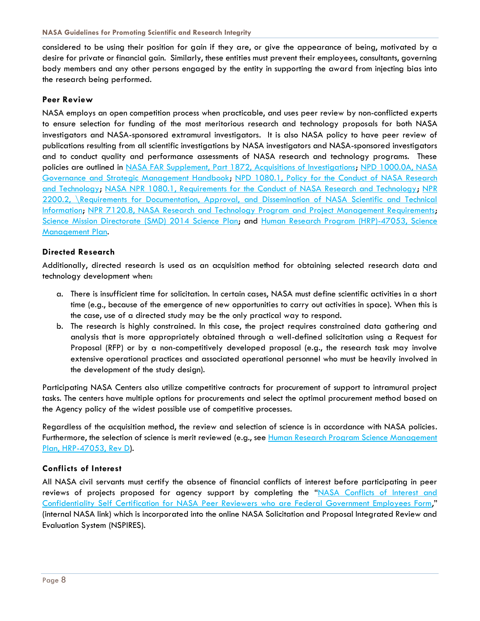considered to be using their position for gain if they are, or give the appearance of being, motivated by a desire for private or financial gain. Similarly, these entities must prevent their employees, consultants, governing body members and any other persons engaged by the entity in supporting the award from injecting bias into the research being performed.

#### <span id="page-8-0"></span>**Peer Review**

NASA employs an open competition process when practicable, and uses peer review by non-conflicted experts to ensure selection for funding of the most meritorious research and technology proposals for both NASA investigators and NASA-sponsored extramural investigators. It is also NASA policy to have peer review of publications resulting from all scientific investigations by NASA investigators and NASA-sponsored investigators and to conduct quality and performance assessments of NASA research and technology programs. These policies are outlined in NASA FAR [Supplement, Part 1872, Acquisitions of Investigations;](http://www.farsmarterbids.com/regs/fars/part.php?partID=1872) [NPD 1000.0A, NASA](https://nodis3.gsfc.nasa.gov/npg_img/N_PD_1000_000B_/N_PD_1000_000B_.pdf)  [Governance and Strategic Management Handbook;](https://nodis3.gsfc.nasa.gov/npg_img/N_PD_1000_000B_/N_PD_1000_000B_.pdf) [NPD 1080.1, Policy for the Conduct of NASA Research](http://nodis3.gsfc.nasa.gov/displayDir.cfm?t=NPD&c=1080&s=1B)  [and Technology;](http://nodis3.gsfc.nasa.gov/displayDir.cfm?t=NPD&c=1080&s=1B) NASA NPR [1080.1, Requirements for the Conduct of NASA Research and Technology;](http://nodis3.gsfc.nasa.gov/displayDir.cfm?t=NPR&c=1080&s=1A) [NPR](http://nodis3.gsfc.nasa.gov/displayDir.cfm?t=NPR&c=2200&s=2C)  [2200.2, \Requirements for Documentation, Approval, and Dissemination of NASA Scientific and Technical](http://nodis3.gsfc.nasa.gov/displayDir.cfm?t=NPR&c=2200&s=2C)  [Information;](http://nodis3.gsfc.nasa.gov/displayDir.cfm?t=NPR&c=2200&s=2C) [NPR 7120.8, NASA Research and Technology Program and Project Management Requirements;](http://nodis3.gsfc.nasa.gov/displayDir.cfm?t=NPR&c=7120&s=8) [Science Mission Directorate \(SMD\) 2014 Science Plan;](https://science.nasa.gov/about-us/science-strategy/) and [Human Research Program \(HRP\)-47053, Science](https://www.nasa.gov/hrp/research/documents)  [Management Plan.](https://www.nasa.gov/hrp/research/documents)

#### <span id="page-8-1"></span>**Directed Research**

Additionally, directed research is used as an acquisition method for obtaining selected research data and technology development when:

- a. There is insufficient time for solicitation. In certain cases, NASA must define scientific activities in a short time (e.g., because of the emergence of new opportunities to carry out activities in space). When this is the case, use of a directed study may be the only practical way to respond.
- b. The research is highly constrained. In this case, the project requires constrained data gathering and analysis that is more appropriately obtained through a well-defined solicitation using a Request for Proposal (RFP) or by a non-competitively developed proposal (e.g., the research task may involve extensive operational practices and associated operational personnel who must be heavily involved in the development of the study design).

Participating NASA Centers also utilize competitive contracts for procurement of support to intramural project tasks. The centers have multiple options for procurements and select the optimal procurement method based on the Agency policy of the widest possible use of competitive processes.

Regardless of the acquisition method, the review and selection of science is in accordance with NASA policies. Furthermore, the selection of science is merit reviewed (e.g., see [Human Research Program](https://www.nasa.gov/hrp/research/documents) Science Management [Plan, HRP-47053, Rev D\)](https://www.nasa.gov/hrp/research/documents).

#### <span id="page-8-2"></span>**Conflicts of Interest**

All NASA civil servants must certify the absence of financial conflicts of interest before participating in peer reviews of projects proposed for agency support by completing the "NASA Conflicts of Interest and [Confidentiality Self Certification for NASA Peer Reviewers who are Federal Government Employees Form,](https://www.nasa.gov/sites/default/files/atoms/files/ocs_website_-_self_certification_form_cs.pdf)" (internal NASA link) which is incorporated into the online NASA Solicitation and Proposal Integrated Review and Evaluation System (NSPIRES).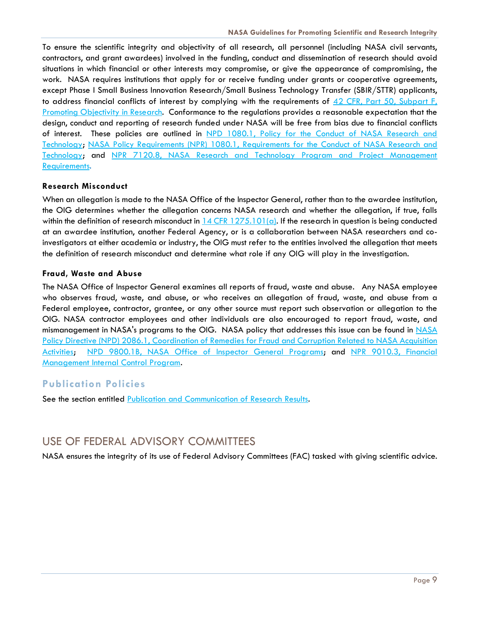To ensure the scientific integrity and objectivity of all research, all personnel (including NASA civil servants, contractors, and grant awardees) involved in the funding, conduct and dissemination of research should avoid situations in which financial or other interests may compromise, or give the appearance of compromising, the work. NASA requires institutions that apply for or receive funding under grants or cooperative agreements, except Phase I Small Business Innovation Research/Small Business Technology Transfer (SBIR/STTR) applicants, to address financial conflicts of interest by complying with the requirements of 42 CFR, Part 50, Subpart F, [Promoting Objectivity in Research.](http://www.ecfr.gov/cgi-bin/text-idx?rgn=div5&node=42:1.0.1.4.23) Conformance to the regulations provides a reasonable expectation that the design, conduct and reporting of research funded under NASA will be free from bias due to financial conflicts of interest. These policies are outlined in NPD 1080.1, Policy for the Conduct of NASA Research and [Technology;](http://nodis3.gsfc.nasa.gov/displayDir.cfm?t=NPD&c=1080&s=1B) [NASA Policy Requirements \(NPR\) 1080.1, Requirements for the Conduct of NASA Research and](http://nodis3.gsfc.nasa.gov/displayDir.cfm?t=NPR&c=1080&s=1A)  [Technology;](http://nodis3.gsfc.nasa.gov/displayDir.cfm?t=NPR&c=1080&s=1A) and [NPR 7120.8, NASA Research and Technology Program and Project Management](http://nodis3.gsfc.nasa.gov/displayDir.cfm?t=NPR&c=7120&s=8)  [Requirements.](http://nodis3.gsfc.nasa.gov/displayDir.cfm?t=NPR&c=7120&s=8)

#### <span id="page-9-0"></span>**Research Misconduct**

When an allegation is made to the NASA Office of the Inspector General, rather than to the awardee institution, the OIG determines whether the allegation concerns NASA research and whether the allegation, if true, falls within the definition of research misconduct in  $14$  CFR  $1275.101(a)$ . If the research in question is being conducted at an awardee institution, another Federal Agency, or is a collaboration between NASA researchers and coinvestigators at either academia or industry, the OIG must refer to the entities involved the allegation that meets the definition of research misconduct and determine what role if any OIG will play in the investigation.

#### <span id="page-9-1"></span>**Fraud, Waste and Abuse**

The NASA Office of Inspector General examines all reports of fraud, waste and abuse. Any NASA employee who observes fraud, waste, and abuse, or who receives an allegation of fraud, waste, and abuse from a Federal employee, contractor, grantee, or any other source must report such observation or allegation to the OIG. NASA contractor employees and other individuals are also encouraged to report fraud, waste, and mismanagement in NASA's programs to the OIG. [NASA](https://nodis3.gsfc.nasa.gov/displayDir.cfm?t=NPD&c=2086&s=1) policy that addresses this issue can be found in NASA [Policy Directive \(NPD\) 2086.1, Coordination of Remedies for Fraud and Corruption Related to NASA Acquisition](https://nodis3.gsfc.nasa.gov/displayDir.cfm?t=NPD&c=2086&s=1)  [Activities;](https://nodis3.gsfc.nasa.gov/displayDir.cfm?t=NPD&c=2086&s=1) [NPD 9800.1B, NASA Office of Inspector General Programs;](https://nodis3.gsfc.nasa.gov/displayDir.cfm?t=NPD&c=9800&s=1B) and [NPR 9010.3, Financial](https://nodis3.gsfc.nasa.gov/displayDir.cfm?Internal_ID=N_PR_9010_0003_&page_name=Chapter1)  [Management Internal Control Program.](https://nodis3.gsfc.nasa.gov/displayDir.cfm?Internal_ID=N_PR_9010_0003_&page_name=Chapter1) 

#### <span id="page-9-2"></span>**Publication Policies**

See the section entitled [Publication and Communication of Research Results.](#page-11-1)

## <span id="page-9-3"></span>USE OF FEDERAL ADVISORY COMMITTEES

NASA ensures the integrity of its use of Federal Advisory Committees (FAC) tasked with giving scientific advice.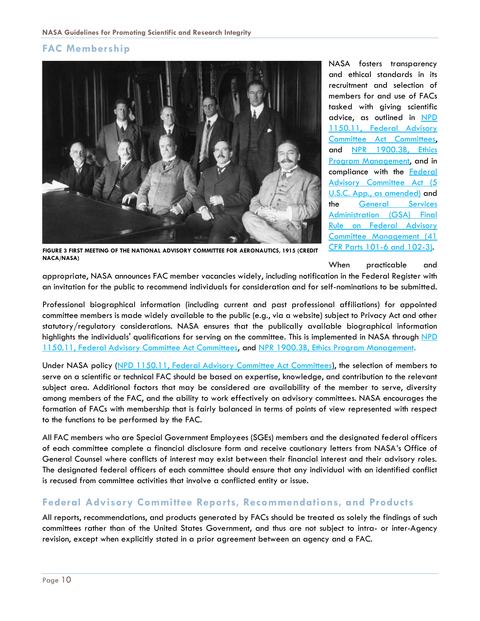## <span id="page-10-0"></span>**FAC Membership**



NASA fosters transparency and ethical standards in its recruitment and selection of members for and use of FACs tasked with giving scientific advice, as outlined in [NPD](https://nodis3.gsfc.nasa.gov/displayDir.cfm?t=NPD&c=1150&s=11)  [1150.11, Federal Advisory](https://nodis3.gsfc.nasa.gov/displayDir.cfm?t=NPD&c=1150&s=11)  [Committee Act Committees,](https://nodis3.gsfc.nasa.gov/displayDir.cfm?t=NPD&c=1150&s=11) and [NPR 1900.3B, Ethics](https://nodis3.gsfc.nasa.gov/displayDir.cfm?Internal_ID=N_PR_1900_003B_&page_name=Chapter4)  [Program Management,](https://nodis3.gsfc.nasa.gov/displayDir.cfm?Internal_ID=N_PR_1900_003B_&page_name=Chapter4) and in compliance with the [Federal](https://www.gpo.gov/fdsys/pkg/USCODE-2012-title5/pdf/USCODE-2012-title5-app-federalad.pdf)  [Advisory Committee Act \(5](https://www.gpo.gov/fdsys/pkg/USCODE-2012-title5/pdf/USCODE-2012-title5-app-federalad.pdf)  [U.S.C. App., as amended\)](https://www.gpo.gov/fdsys/pkg/USCODE-2012-title5/pdf/USCODE-2012-title5-app-federalad.pdf) and the [General Services](https://energy.gov/sites/prod/files/2015/07/f25/faca41CFRParts101_6_102_3_0.pdf)  [Administration \(GSA\) Final](https://energy.gov/sites/prod/files/2015/07/f25/faca41CFRParts101_6_102_3_0.pdf)  [Rule on Federal Advisory](https://energy.gov/sites/prod/files/2015/07/f25/faca41CFRParts101_6_102_3_0.pdf)  [Committee Management \(41](https://energy.gov/sites/prod/files/2015/07/f25/faca41CFRParts101_6_102_3_0.pdf)  [CFR Parts 101-6 and 102-3\).](https://energy.gov/sites/prod/files/2015/07/f25/faca41CFRParts101_6_102_3_0.pdf)

**FIGURE 3 FIRST MEETING OF THE NATIONAL ADVISORY COMMITTEE FOR AERONAUTICS, 1915 (CREDIT NACA/NASA)**

When practicable and

appropriate, NASA announces FAC member vacancies widely, including notification in the Federal Register with an invitation for the public to recommend individuals for consideration and for self-nominations to be submitted.

Professional biographical information (including current and past professional affiliations) for appointed committee members is made widely available to the public (e.g., via a website) subject to Privacy Act and other statutory/regulatory considerations. NASA ensures that the publically available biographical information highlights the individuals' qualifications for serving on the committee. This is implemented in NASA through NPD [1150.11, Federal Advisory Committee Act Committees,](https://nodis3.gsfc.nasa.gov/displayDir.cfm?t=NPD&c=1150&s=11) and [NPR 1900.3B, Ethics Program Management.](https://nodis3.gsfc.nasa.gov/displayDir.cfm?Internal_ID=N_PR_1900_003B_&page_name=Chapter4)

Under NASA policy [\(NPD 1150.11, Federal Advisory Committee Act Committees\)](https://nodis3.gsfc.nasa.gov/displayDir.cfm?t=NPD&c=1150&s=11), the selection of members to serve on a scientific or technical FAC should be based on expertise, knowledge, and contribution to the relevant subject area. Additional factors that may be considered are availability of the member to serve, diversity among members of the FAC, and the ability to work effectively on advisory committees. NASA encourages the formation of FACs with membership that is fairly balanced in terms of points of view represented with respect to the functions to be performed by the FAC.

All FAC members who are Special Government Employees (SGEs) members and the designated federal officers of each committee complete a financial disclosure form and receive cautionary letters from NASA's Office of General Counsel where conflicts of interest may exist between their financial interest and their advisory roles. The designated federal officers of each committee should ensure that any individual with an identified conflict is recused from committee activities that involve a conflicted entity or issue.

#### <span id="page-10-1"></span>**Federal Advisory Committee Reports, Recommendations, and Products**

All reports, recommendations, and products generated by FACs should be treated as solely the findings of such committees rather than of the United States Government, and thus are not subject to intra- or inter-Agency revision, except when explicitly stated in a prior agreement between an agency and a FAC.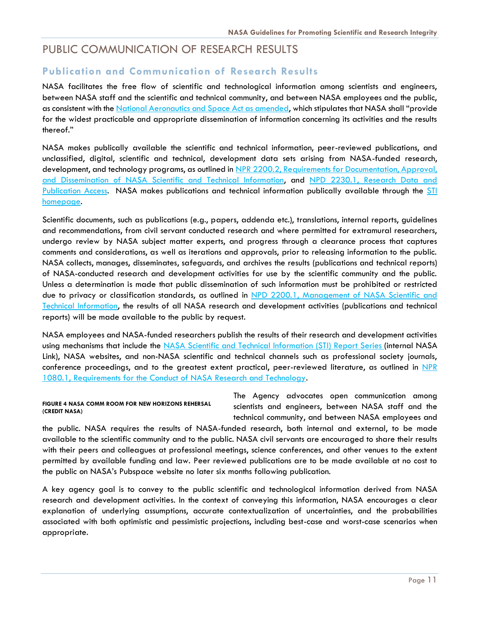## <span id="page-11-0"></span>PUBLIC COMMUNICATION OF RESEARCH RESULTS

## <span id="page-11-1"></span>**Publication and Communication of Research Results**

NASA facilitates the free flow of scientific and technological information among scientists and engineers, between NASA staff and the scientific and technical community, and between NASA employees and the public, as consistent with the [National Aeronautics and Space Act as amended,](https://www.nasa.gov/offices/ogc/about/space_act1.html) which stipulates that NASA shall "provide for the widest practicable and appropriate dissemination of information concerning its activities and the results thereof."

NASA makes publically available the scientific and technical information, peer-reviewed publications, and unclassified, digital, scientific and technical, development data sets arising from NASA-funded research, development, and technology programs, as outlined in [NPR 2200.2, Requirements for Documentation, Approval,](http://nodis3.gsfc.nasa.gov/displayDir.cfm?t=NPR&c=2200&s=2C)  [and Dissemination of NASA Scientific and Technical Information,](http://nodis3.gsfc.nasa.gov/displayDir.cfm?t=NPR&c=2200&s=2C) and [NPD 2230.1, Research Data and](https://nodis3.gsfc.nasa.gov/displayDir.cfm?Internal_ID=N_PD_2230_0001_&page_name=main)  [Publication Access.](https://nodis3.gsfc.nasa.gov/displayDir.cfm?Internal_ID=N_PD_2230_0001_&page_name=main) NASA makes publications and technical information publically available through the [STI](https://www.sti.nasa.gov/)  [homepage.](https://www.sti.nasa.gov/)

Scientific documents, such as publications (e.g., papers, addenda etc.), translations, internal reports, guidelines and recommendations, from civil servant conducted research and where permitted for extramural researchers, undergo review by NASA subject matter experts, and progress through a clearance process that captures comments and considerations, as well as iterations and approvals, prior to releasing information to the public. NASA collects, manages, disseminates, safeguards, and archives the results (publications and technical reports) of NASA-conducted research and development activities for use by the scientific community and the public. Unless a determination is made that public dissemination of such information must be prohibited or restricted due to privacy or classification standards, as outlined in [NPD 2200.1, Management of NASA Scientific and](https://nodis3.gsfc.nasa.gov/displayDir.cfm?t=NPD&c=2200&s=1B)  [Technical Information,](https://nodis3.gsfc.nasa.gov/displayDir.cfm?t=NPD&c=2200&s=1B) the results of all NASA research and development activities (publications and technical reports) will be made available to the public by request.

NASA employees and NASA-funded researchers publish the results of their research and development activities using mechanisms that include the [NASA Scientific and Technical Information \(STI\) Report Series](https://www.sti.nasa.gov/) (internal NASA Link), NASA websites, and non-NASA scientific and technical channels such as professional society journals, conference proceedings, and to the greatest extent practical, peer-reviewed literature, as outlined in [NPR](http://nodis3.gsfc.nasa.gov/displayDir.cfm?t=NPR&c=1080&s=1A)  [1080.1, Requirements for the Conduct of NASA Research and Technology.](http://nodis3.gsfc.nasa.gov/displayDir.cfm?t=NPR&c=1080&s=1A)

#### **FIGURE 4 NASA COMM ROOM FOR NEW HORIZONS REHERSAL (CREDIT NASA)**

The Agency advocates open communication among scientists and engineers, between NASA staff and the technical community, and between NASA employees and

the public. NASA requires the results of NASA-funded research, both internal and external, to be made available to the scientific community and to the public. NASA civil servants are encouraged to share their results with their peers and colleagues at professional meetings, science conferences, and other venues to the extent permitted by available funding and law. Peer reviewed publications are to be made available at no cost to the public on NASA's Pubspace website no later six months following publication.

A key agency goal is to convey to the public scientific and technological information derived from NASA research and development activities. In the context of conveying this information, NASA encourages a clear explanation of underlying assumptions, accurate contextualization of uncertainties, and the probabilities associated with both optimistic and pessimistic projections, including best-case and worst-case scenarios when appropriate.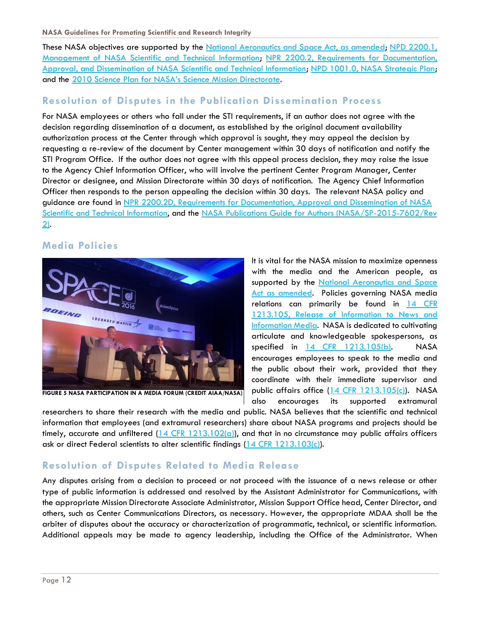#### **NASA Guidelines for Promoting Scientific and Research Integrity**

These NASA objectives are supported by the [National Aeronautics and Space Act, as amended;](https://www.nasa.gov/offices/ogc/about/space_act1.html) NPD 2200.1, [Management of NASA Scientific and Technical Information;](https://nodis3.gsfc.nasa.gov/displayDir.cfm?t=NPD&c=2200&s=1B) [NPR 2200.2, Requirements for Documentation,](http://nodis3.gsfc.nasa.gov/displayDir.cfm?t=NPR&c=2200&s=2C)  [Approval, and Dissemination of NASA Scientific and Technical Information;](http://nodis3.gsfc.nasa.gov/displayDir.cfm?t=NPR&c=2200&s=2C) [NPD 1001.0, NASA Strategic Plan;](https://nodis3.gsfc.nasa.gov/displayDir.cfm?t=NPD&c=1001&s=0A) and the [2010 Science Plan for NASA's Science Mission Directorate.](https://science.nasa.gov/about-us/science-strategy/)

## <span id="page-12-0"></span>**Resolution of Disputes in the Publication Dissemination Process**

For NASA employees or others who fall under the STI requirements, if an author does not agree with the decision regarding dissemination of a document, as established by the original document availability authorization process at the Center through which approval is sought, they may appeal the decision by requesting a re-review of the document by Center management within 30 days of notification and notify the STI Program Office. If the author does not agree with this appeal process decision, they may raise the issue to the Agency Chief Information Officer, who will involve the pertinent Center Program Manager, Center Director or designee, and Mission Directorate within 30 days of notification. The Agency Chief Information Officer then responds to the person appealing the decision within 30 days. The relevant NASA policy and guidance are found in NPR 2200.2D, [Requirements for Documentation, Approval and Dissemination of NASA](http://nodis3.gsfc.nasa.gov/displayDir.cfm?t=NPR&c=2200&s=2C)  [Scientific and Technical Information,](http://nodis3.gsfc.nasa.gov/displayDir.cfm?t=NPR&c=2200&s=2C) and the [NASA Publications Guide for Authors \(NASA/SP-2015-7602/Rev](https://ntrs.nasa.gov/search.jsp?R=20150013303)  [2\).](https://ntrs.nasa.gov/search.jsp?R=20150013303)

## <span id="page-12-1"></span>**Media Policies**



**FIGURE 5 NASA PARTICIPATION IN A MEDIA FORUM (CREDIT AIAA/NASA)**

It is vital for the NASA mission to maximize openness with the media and the American people, as supported by the National Aeronautics and Space [Act as amended.](https://www.nasa.gov/offices/ogc/about/space_act1.html) Policies governing NASA media relations can primarily be found in [14 CFR](https://www.gpo.gov/fdsys/pkg/CFR-1999-title14-vol5/xml/CFR-1999-title14-vol5-sec1213-105.xml)  [1213.105, Release of Information to News and](https://www.gpo.gov/fdsys/pkg/CFR-1999-title14-vol5/xml/CFR-1999-title14-vol5-sec1213-105.xml)  [Information Media.](https://www.gpo.gov/fdsys/pkg/CFR-1999-title14-vol5/xml/CFR-1999-title14-vol5-sec1213-105.xml) NASA is dedicated to cultivating articulate and knowledgeable spokespersons, as specified in [14 CFR 1213.105\(b\).](https://www.gpo.gov/fdsys/pkg/CFR-1999-title14-vol5/xml/CFR-1999-title14-vol5-sec1213-105.xml) NASA encourages employees to speak to the media and the public about their work, provided that they coordinate with their immediate supervisor and public affairs office  $(14$  CFR  $1213.105(c)$ ). NASA also encourages its supported extramural

researchers to share their research with the media and public. NASA believes that the scientific and technical information that employees (and extramural researchers) share about NASA programs and projects should be timely, accurate and unfiltered  $(14 \text{ CFR } 1213.102(a))$ , and that in no circumstance may public affairs officers ask or direct Federal scientists to alter scientific findings [\(14 CFR 1213.103\(c\)\)](https://www.gpo.gov/fdsys/pkg/CFR-1999-title14-vol5/xml/CFR-1999-title14-vol5-sec1213-103.xml).

## <span id="page-12-2"></span>**Resolution of Disputes Related to Media Release**

Any disputes arising from a decision to proceed or not proceed with the issuance of a news release or other type of public information is addressed and resolved by the Assistant Administrator for Communications, with the appropriate Mission Directorate Associate Administrator, Mission Support Office head, Center Director, and others, such as Center Communications Directors, as necessary. However, the appropriate MDAA shall be the arbiter of disputes about the accuracy or characterization of programmatic, technical, or scientific information. Additional appeals may be made to agency leadership, including the Office of the Administrator. When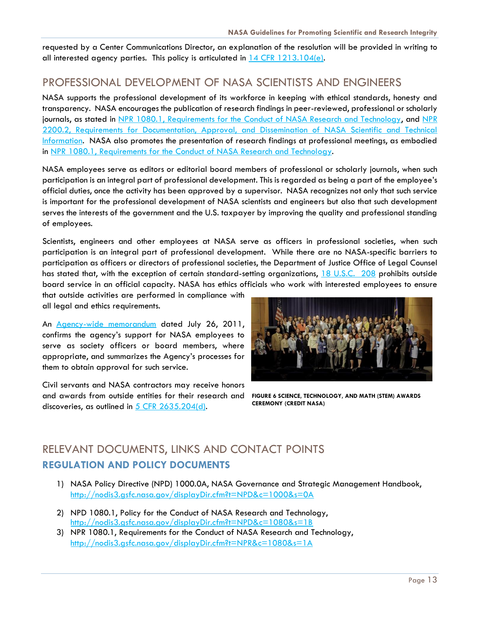requested by a Center Communications Director, an explanation of the resolution will be provided in writing to all interested agency parties. This policy is articulated in [14 CFR 1213.104\(e\).](https://www.gpo.gov/fdsys/pkg/CFR-1999-title14-vol5/xml/CFR-1999-title14-vol5-sec1213-104.xml)

## <span id="page-13-0"></span>PROFESSIONAL DEVELOPMENT OF NASA SCIENTISTS AND ENGINEERS

NASA supports the professional development of its workforce in keeping with ethical standards, honesty and transparency. NASA encourages the publication of research findings in peer-reviewed, professional or scholarly journals, as stated in [NPR 1080.1, Requirements for the Conduct of NASA Research and Technology,](http://nodis3.gsfc.nasa.gov/displayDir.cfm?t=NPR&c=1080&s=1A) and NPR [2200.2, Requirements for Documentation, Approval, and Dissemination of NASA Scientific and Technical](http://nodis3.gsfc.nasa.gov/displayDir.cfm?t=NPR&c=2200&s=2C)  [Information.](http://nodis3.gsfc.nasa.gov/displayDir.cfm?t=NPR&c=2200&s=2C) NASA also promotes the presentation of research findings at professional meetings, as embodied in [NPR 1080.1, Requirements for the Conduct of NASA Research and Technology.](http://nodis3.gsfc.nasa.gov/displayDir.cfm?t=NPR&c=1080&s=1A)

NASA employees serve as editors or editorial board members of professional or scholarly journals, when such participation is an integral part of professional development. This is regarded as being a part of the employee's official duties, once the activity has been approved by a supervisor. NASA recognizes not only that such service is important for the professional development of NASA scientists and engineers but also that such development serves the interests of the government and the U.S. taxpayer by improving the quality and professional standing of employees.

Scientists, engineers and other employees at NASA serve as officers in professional societies, when such participation is an integral part of professional development. While there are no NASA-specific barriers to participation as officers or directors of professional societies, the Department of Justice Office of Legal Counsel has stated that, with the exception of certain standard-setting organizations, [18 U.S.C. 208](https://www.gpo.gov/fdsys/pkg/USCODE-2012-title18/html/USCODE-2012-title18-partI-chap11-sec208.htm) prohibits outside board service in an official capacity. NASA has ethics officials who work with interested employees to ensure

that outside activities are performed in compliance with all legal and ethics requirements.

An [Agency-wide memorandum](http://www.spaceref.com/news/viewsr.html?pid=38104) dated July 26, 2011, confirms the agency's support for NASA employees to serve as society officers or board members, where appropriate, and summarizes the Agency's processes for them to obtain approval for such service.

Civil servants and NASA contractors may receive honors and awards from outside entities for their research and discoveries, as outlined in [5 CFR 2635.204\(d\).](http://www.ecfr.gov/cgi-bin/text-idx?tpl=/ecfrbrowse/Title05/5cfr2635_main_02.tpl)



**FIGURE 6 SCIENCE, TECHNOLOGY, AND MATH (STEM) AWARDS CEREMONY (CREDIT NASA)**

## <span id="page-13-1"></span>RELEVANT DOCUMENTS, LINKS AND CONTACT POINTS **REGULATION AND POLICY DOCUMENTS**

- 1) NASA Policy Directive (NPD) 1000.0A, NASA Governance and Strategic Management Handbook, <http://nodis3.gsfc.nasa.gov/displayDir.cfm?t=NPD&c=1000&s=0A>
- 2) NPD 1080.1, Policy for the Conduct of NASA Research and Technology, <http://nodis3.gsfc.nasa.gov/displayDir.cfm?t=NPD&c=1080&s=1B>
- 3) NPR 1080.1, Requirements for the Conduct of NASA Research and Technology, <http://nodis3.gsfc.nasa.gov/displayDir.cfm?t=NPR&c=1080&s=1A>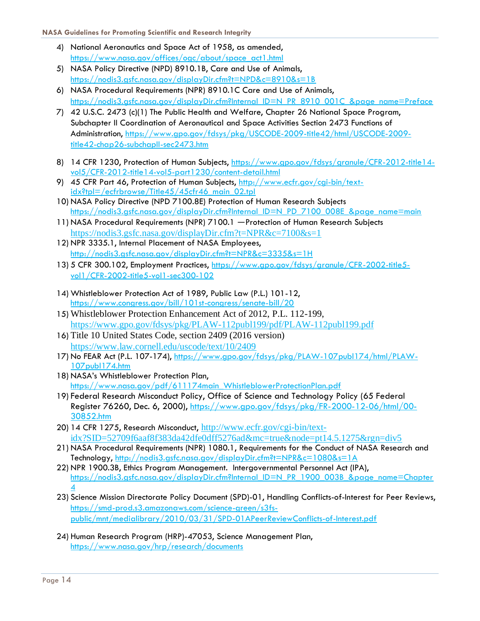- 4) National Aeronautics and Space Act of 1958, as amended, [https://www.nasa.gov/offices/ogc/about/space\\_act1.html](https://www.nasa.gov/offices/ogc/about/space_act1.html)
- 5) NASA Policy Directive (NPD) 8910.1B, Care and Use of Animals, <https://nodis3.gsfc.nasa.gov/displayDir.cfm?t=NPD&c=8910&s=1B>
- 6) NASA Procedural Requirements (NPR) 8910.1C Care and Use of Animals, [https://nodis3.gsfc.nasa.gov/displayDir.cfm?Internal\\_ID=N\\_PR\\_8910\\_001C\\_&page\\_name=Preface](https://nodis3.gsfc.nasa.gov/displayDir.cfm?Internal_ID=N_PR_8910_001C_&page_name=Preface)
- 7) 42 U.S.C. 2473 (c)(1) The Public Health and Welfare, Chapter 26 National Space Program, Subchapter II Coordination of Aeronautical and Space Activities Section 2473 Functions of Administration, [https://www.gpo.gov/fdsys/pkg/USCODE-2009-title42/html/USCODE-2009](https://www.gpo.gov/fdsys/pkg/USCODE-2009-title42/html/USCODE-2009-title42-chap26-subchapII-sec2473.htm) [title42-chap26-subchapII-sec2473.htm](https://www.gpo.gov/fdsys/pkg/USCODE-2009-title42/html/USCODE-2009-title42-chap26-subchapII-sec2473.htm)
- 8) 14 CFR 1230, Protection of Human Subjects, [https://www.gpo.gov/fdsys/granule/CFR-2012-title14](https://www.gpo.gov/fdsys/granule/CFR-2012-title14-vol5/CFR-2012-title14-vol5-part1230/content-detail.html) [vol5/CFR-2012-title14-vol5-part1230/content-detail.html](https://www.gpo.gov/fdsys/granule/CFR-2012-title14-vol5/CFR-2012-title14-vol5-part1230/content-detail.html)
- 9) 45 CFR Part 46, Protection of Human Subjects, [http://www.ecfr.gov/cgi-bin/text](http://www.ecfr.gov/cgi-bin/text-idx?tpl=/ecfrbrowse/Title45/45cfr46_main_02.tpl)[idx?tpl=/ecfrbrowse/Title45/45cfr46\\_main\\_02.tpl](http://www.ecfr.gov/cgi-bin/text-idx?tpl=/ecfrbrowse/Title45/45cfr46_main_02.tpl)
- 10) NASA Policy Directive (NPD 7100.8E) Protection of Human Research Subjects [https://nodis3.gsfc.nasa.gov/displayDir.cfm?Internal\\_ID=N\\_PD\\_7100\\_008E\\_&page\\_name=main](https://nodis3.gsfc.nasa.gov/displayDir.cfm?Internal_ID=N_PD_7100_008E_&page_name=main)
- 11) NASA Procedural Requirements (NPR) 7100.1 ―Protection of Human Research Subjects <https://nodis3.gsfc.nasa.gov/displayDir.cfm?t=NPR&c=7100&s=1>
- 12) NPR 3335.1, Internal Placement of NASA Employees, <http://nodis3.gsfc.nasa.gov/displayDir.cfm?t=NPR&c=3335&s=1H>
- 13) 5 CFR 300.102, Employment Practices, [https://www.gpo.gov/fdsys/granule/CFR-2002-title5](https://www.gpo.gov/fdsys/granule/CFR-2002-title5-vol1/CFR-2002-title5-vol1-sec300-102) [vol1/CFR-2002-title5-vol1-sec300-102](https://www.gpo.gov/fdsys/granule/CFR-2002-title5-vol1/CFR-2002-title5-vol1-sec300-102)
- 14) Whistleblower Protection Act of 1989, Public Law (P.L.) 101-12, <https://www.congress.gov/bill/101st-congress/senate-bill/20>
- 15) Whistleblower Protection Enhancement Act of 2012, P.L. 112-199, <https://www.gpo.gov/fdsys/pkg/PLAW-112publ199/pdf/PLAW-112publ199.pdf>
- 16) Title 10 United States Code, section 2409 (2016 version) <https://www.law.cornell.edu/uscode/text/10/2409>
- 17) No FEAR Act (P.L. 107-174), [https://www.gpo.gov/fdsys/pkg/PLAW-107publ174/html/PLAW-](https://www.gpo.gov/fdsys/pkg/PLAW-107publ174/html/PLAW-107publ174.htm)[107publ174.htm](https://www.gpo.gov/fdsys/pkg/PLAW-107publ174/html/PLAW-107publ174.htm)
- 18) NASA's Whistleblower Protection Plan, [https://www.nasa.gov/pdf/611174main\\_WhistleblowerProtectionPlan.pdf](https://www.nasa.gov/pdf/611174main_WhistleblowerProtectionPlan.pdf)
- 19) Federal Research Misconduct Policy, Office of Science and Technology Policy (65 Federal Register 76260, Dec. 6, 2000), [https://www.gpo.gov/fdsys/pkg/FR-2000-12-06/html/00-](https://www.gpo.gov/fdsys/pkg/FR-2000-12-06/html/00-30852.htm) [30852.htm](https://www.gpo.gov/fdsys/pkg/FR-2000-12-06/html/00-30852.htm)
- 20) 14 CFR 1275, Research Misconduct, [http://www.ecfr.gov/cgi-bin/text](http://www.ecfr.gov/cgi-bin/text-idx?SID=52709f6aaf8f383da42dfe0dff5276ad&mc=true&node=pt14.5.1275&rgn=div5)[idx?SID=52709f6aaf8f383da42dfe0dff5276ad&mc=true&node=pt14.5.1275&rgn=div5](http://www.ecfr.gov/cgi-bin/text-idx?SID=52709f6aaf8f383da42dfe0dff5276ad&mc=true&node=pt14.5.1275&rgn=div5)
- 21) NASA Procedural Requirements (NPR) 1080.1, Requirements for the Conduct of NASA Research and Technology,<http://nodis3.gsfc.nasa.gov/displayDir.cfm?t=NPR&c=1080&s=1A>
- 22) NPR 1900.3B, Ethics Program Management. Intergovernmental Personnel Act (IPA), [https://nodis3.gsfc.nasa.gov/displayDir.cfm?Internal\\_ID=N\\_PR\\_1900\\_003B\\_&page\\_name=Chapter](https://nodis3.gsfc.nasa.gov/displayDir.cfm?Internal_ID=N_PR_1900_003B_&page_name=Chapter4)  $\boldsymbol{\Lambda}$
- 23) Science Mission Directorate Policy Document (SPD)-01, Handling Conflicts-of-Interest for Peer Reviews, [https://smd-prod.s3.amazonaws.com/science-green/s3fs](https://smd-prod.s3.amazonaws.com/science-green/s3fs-public/mnt/medialibrary/2010/03/31/SPD-01APeerReviewConflicts-of-Interest.pdf)[public/mnt/medialibrary/2010/03/31/SPD-01APeerReviewConflicts-of-Interest.pdf](https://smd-prod.s3.amazonaws.com/science-green/s3fs-public/mnt/medialibrary/2010/03/31/SPD-01APeerReviewConflicts-of-Interest.pdf)
- 24) Human Research Program (HRP)-47053, Science Management Plan, <https://www.nasa.gov/hrp/research/documents>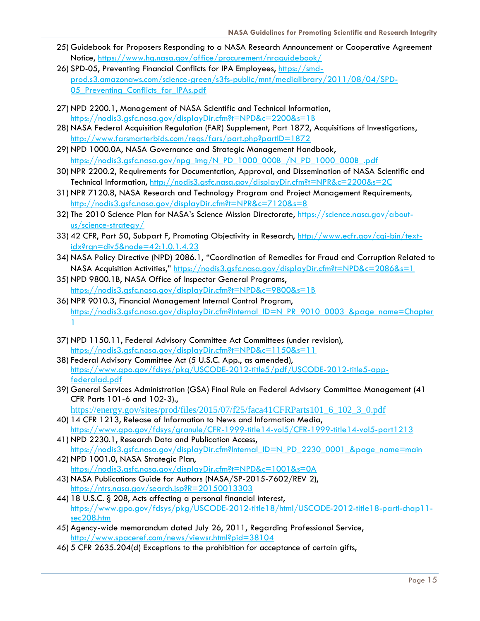- 25) Guidebook for Proposers Responding to a NASA Research Announcement or Cooperative Agreement Notice, <https://www.hq.nasa.gov/office/procurement/nraguidebook/>
- 26) SPD-05, Preventing Financial Conflicts for IPA Employees, [https://smd](https://smd-prod.s3.amazonaws.com/science-green/s3fs-public/mnt/medialibrary/2011/08/04/SPD-05_Preventing_Conflicts_for_IPAs.pdf)[prod.s3.amazonaws.com/science-green/s3fs-public/mnt/medialibrary/2011/08/04/SPD-](https://smd-prod.s3.amazonaws.com/science-green/s3fs-public/mnt/medialibrary/2011/08/04/SPD-05_Preventing_Conflicts_for_IPAs.pdf)05 Preventing Conflicts for IPAs.pdf
- 27) NPD 2200.1, Management of NASA Scientific and Technical Information, <https://nodis3.gsfc.nasa.gov/displayDir.cfm?t=NPD&c=2200&s=1B>
- 28) NASA Federal Acquisition Regulation (FAR) Supplement, Part 1872, Acquisitions of Investigations, <http://www.farsmarterbids.com/regs/fars/part.php?partID=1872>
- 29) NPD 1000.0A, NASA Governance and Strategic Management Handbook, [https://nodis3.gsfc.nasa.gov/npg\\_img/N\\_PD\\_1000\\_000B\\_/N\\_PD\\_1000\\_000B\\_.pdf](https://nodis3.gsfc.nasa.gov/npg_img/N_PD_1000_000B_/N_PD_1000_000B_.pdf)
- 30) NPR 2200.2, Requirements for Documentation, Approval, and Dissemination of NASA Scientific and Technical Information,<http://nodis3.gsfc.nasa.gov/displayDir.cfm?t=NPR&c=2200&s=2C>
- 31) NPR 7120.8, NASA Research and Technology Program and Project Management Requirements, <http://nodis3.gsfc.nasa.gov/displayDir.cfm?t=NPR&c=7120&s=8>
- 32) The 2010 Science Plan for NASA's Science Mission Directorate, [https://science.nasa.gov/about](https://science.nasa.gov/about-us/science-strategy/)[us/science-strategy/](https://science.nasa.gov/about-us/science-strategy/)
- 33) 42 CFR, Part 50, Subpart F, Promoting Objectivity in Research, [http://www.ecfr.gov/cgi-bin/text](http://www.ecfr.gov/cgi-bin/text-idx?rgn=div5&node=42:1.0.1.4.23)[idx?rgn=div5&node=42:1.0.1.4.23](http://www.ecfr.gov/cgi-bin/text-idx?rgn=div5&node=42:1.0.1.4.23)
- 34) NASA Policy Directive (NPD) 2086.1, "Coordination of Remedies for Fraud and Corruption Related to NASA Acquisition Activities,"<https://nodis3.gsfc.nasa.gov/displayDir.cfm?t=NPD&c=2086&s=1>
- 35) NPD 9800.1B, NASA Office of Inspector General Programs, <https://nodis3.gsfc.nasa.gov/displayDir.cfm?t=NPD&c=9800&s=1B>
- 36) NPR 9010.3, Financial Management Internal Control Program, [https://nodis3.gsfc.nasa.gov/displayDir.cfm?Internal\\_ID=N\\_PR\\_9010\\_0003\\_&page\\_name=Chapter](https://nodis3.gsfc.nasa.gov/displayDir.cfm?Internal_ID=N_PR_9010_0003_&page_name=Chapter1) [1](https://nodis3.gsfc.nasa.gov/displayDir.cfm?Internal_ID=N_PR_9010_0003_&page_name=Chapter1)
- 37) NPD 1150.11, Federal Advisory Committee Act Committees (under revision), <https://nodis3.gsfc.nasa.gov/displayDir.cfm?t=NPD&c=1150&s=11>
- 38) Federal Advisory Committee Act (5 U.S.C. App., as amended), [https://www.gpo.gov/fdsys/pkg/USCODE-2012-title5/pdf/USCODE-2012-title5-app](https://www.gpo.gov/fdsys/pkg/USCODE-2012-title5/pdf/USCODE-2012-title5-app-federalad.pdf)[federalad.pdf](https://www.gpo.gov/fdsys/pkg/USCODE-2012-title5/pdf/USCODE-2012-title5-app-federalad.pdf)
- 39) General Services Administration (GSA) Final Rule on Federal Advisory Committee Management (41 CFR Parts 101-6 and 102-3).,
	- [https://energy.gov/sites/prod/files/2015/07/f25/faca41CFRParts101\\_6\\_102\\_3\\_0.pdf](https://energy.gov/sites/prod/files/2015/07/f25/faca41CFRParts101_6_102_3_0.pdf)
- 40) 14 CFR 1213, Release of Information to News and Information Media, <https://www.gpo.gov/fdsys/granule/CFR-1999-title14-vol5/CFR-1999-title14-vol5-part1213>
- 41) NPD 2230.1, Research Data and Publication Access, [https://nodis3.gsfc.nasa.gov/displayDir.cfm?Internal\\_ID=N\\_PD\\_2230\\_0001\\_&page\\_name=main](https://nodis3.gsfc.nasa.gov/displayDir.cfm?Internal_ID=N_PD_2230_0001_&page_name=main)
- 42) NPD 1001.0, NASA Strategic Plan, <https://nodis3.gsfc.nasa.gov/displayDir.cfm?t=NPD&c=1001&s=0A>
- 43) [NASA Publications Guide for Authors](https://hdl.handle.net/2060/20150013303) (NASA/SP-2015-7602/REV 2), <https://ntrs.nasa.gov/search.jsp?R=20150013303>
- 44) 18 U.S.C. § 208, Acts affecting a personal financial interest, [https://www.gpo.gov/fdsys/pkg/USCODE-2012-title18/html/USCODE-2012-title18-partI-chap11](https://www.gpo.gov/fdsys/pkg/USCODE-2012-title18/html/USCODE-2012-title18-partI-chap11-sec208.htm) [sec208.htm](https://www.gpo.gov/fdsys/pkg/USCODE-2012-title18/html/USCODE-2012-title18-partI-chap11-sec208.htm)
- 45) Agency-wide memorandum dated July 26, 2011, Regarding Professional Service, <http://www.spaceref.com/news/viewsr.html?pid=38104>
- 46) 5 CFR 2635.204(d) Exceptions to the prohibition for acceptance of certain gifts,